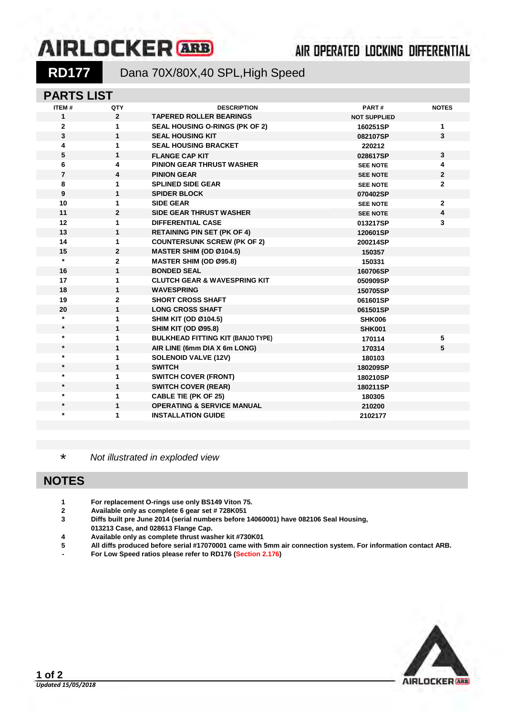# **AIRLOCKER** ARB

## 

RD177 Dana 70X/80X,40 SPL, High Speed

### **PARTS LIST**

| <b>ITEM#</b>   | QTY            | <b>DESCRIPTION</b>                       | PART#               | <b>NOTES</b> |
|----------------|----------------|------------------------------------------|---------------------|--------------|
| 1              | $\overline{2}$ | <b>TAPERED ROLLER BEARINGS</b>           | <b>NOT SUPPLIED</b> |              |
| $\mathbf{2}$   | 1              | SEAL HOUSING O-RINGS (PK OF 2)           | 160251SP            | 1            |
| 3              | $\mathbf{1}$   | <b>SEAL HOUSING KIT</b>                  | 082107SP            | 3            |
| 4              | 1              | <b>SEAL HOUSING BRACKET</b>              | 220212              |              |
| 5              | $\mathbf{1}$   | <b>FLANGE CAP KIT</b>                    | 028617SP            | $\mathbf{3}$ |
| 6              | 4              | <b>PINION GEAR THRUST WASHER</b>         | <b>SEE NOTE</b>     | 4            |
| $\overline{7}$ | 4              | <b>PINION GEAR</b>                       | <b>SEE NOTE</b>     | $\mathbf{2}$ |
| 8              | 1              | <b>SPLINED SIDE GEAR</b>                 | <b>SEE NOTE</b>     | $\mathbf{2}$ |
| 9              | $\mathbf{1}$   | <b>SPIDER BLOCK</b>                      | 070402SP            |              |
| 10             | 1              | <b>SIDE GEAR</b>                         | <b>SEE NOTE</b>     | $\mathbf{2}$ |
| 11             | $\overline{2}$ | <b>SIDE GEAR THRUST WASHER</b>           | <b>SEE NOTE</b>     | 4            |
| 12             | $\mathbf{1}$   | <b>DIFFERENTIAL CASE</b>                 | 013217SP            | 3            |
| 13             | $\mathbf{1}$   | <b>RETAINING PIN SET (PK OF 4)</b>       | 120601SP            |              |
| 14             | 1              | <b>COUNTERSUNK SCREW (PK OF 2)</b>       | 200214SP            |              |
| 15             | $\mathbf{2}$   | <b>MASTER SHIM (OD Ø104.5)</b>           | 150357              |              |
| $\star$        | $\mathbf{2}$   | <b>MASTER SHIM (OD Ø95.8)</b>            | 150331              |              |
| 16             | $\mathbf{1}$   | <b>BONDED SEAL</b>                       | 160706SP            |              |
| 17             | 1              | <b>CLUTCH GEAR &amp; WAVESPRING KIT</b>  | 050909SP            |              |
| 18             | 1              | <b>WAVESPRING</b>                        | 150705SP            |              |
| 19             | $\mathbf{2}$   | <b>SHORT CROSS SHAFT</b>                 | 061601SP            |              |
| 20             | $\mathbf{1}$   | <b>LONG CROSS SHAFT</b>                  | 061501SP            |              |
| $\star$        | 1              | <b>SHIM KIT (OD Ø104.5)</b>              | <b>SHK006</b>       |              |
| $\star$        | 1              | <b>SHIM KIT (OD Ø95.8)</b>               | <b>SHK001</b>       |              |
| $\star$        | 1              | <b>BULKHEAD FITTING KIT (BANJO TYPE)</b> | 170114              | 5            |
| $\star$        | $\mathbf{1}$   | AIR LINE (6mm DIA X 6m LONG)             | 170314              | 5            |
| $^\star$       | 1              | <b>SOLENOID VALVE (12V)</b>              | 180103              |              |
| $\star$        | $\mathbf{1}$   | <b>SWITCH</b>                            | 180209SP            |              |
| $\star$        | 1              | <b>SWITCH COVER (FRONT)</b>              | 180210SP            |              |
| $\star$        | 1              | <b>SWITCH COVER (REAR)</b>               | 180211SP            |              |
| *              | 1              | <b>CABLE TIE (PK OF 25)</b>              | 180305              |              |
| $\ast$         | 1              | <b>OPERATING &amp; SERVICE MANUAL</b>    | 210200              |              |
| $\ast$         | 1              | <b>INSTALLATION GUIDE</b>                | 2102177             |              |
|                |                |                                          |                     |              |

\* *Not illustrated in exploded view*

### **NOTES**

- **1 For replacement O-rings use only BS149 Viton 75.**
- **2 Available only as complete 6 gear set # 728K051**
- **3 Diffs built pre June 2014 (serial numbers before 14060001) have 082106 Seal Housing,**
- **013213 Case, and 028613 Flange Cap.**
- **4 Available only as complete thrust washer kit #730K01**
- **5 All diffs produced before serial #17070001 came with 5mm air connection system. For information contact ARB.**
- **- For Low Speed ratios please refer to RD176 (Section 2.176)**